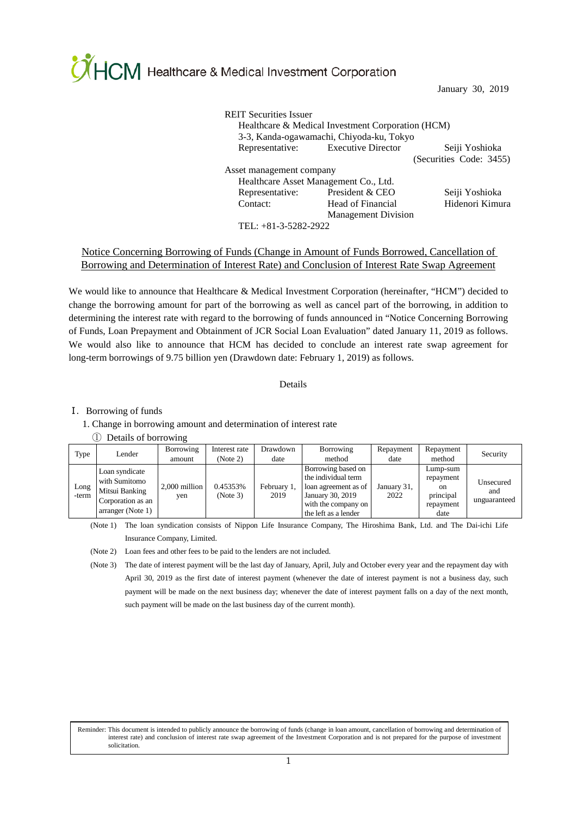CHCM Healthcare & Medical Investment Corporation

January 30, 2019

| <b>REIT Securities Issuer</b><br>Healthcare & Medical Investment Corporation (HCM)<br>3-3, Kanda-ogawamachi, Chiyoda-ku, Tokyo |                                       |                         |  |  |  |
|--------------------------------------------------------------------------------------------------------------------------------|---------------------------------------|-------------------------|--|--|--|
|                                                                                                                                | Representative: Executive Director    | Seiji Yoshioka          |  |  |  |
|                                                                                                                                |                                       | (Securities Code: 3455) |  |  |  |
| Asset management company                                                                                                       |                                       |                         |  |  |  |
|                                                                                                                                | Healthcare Asset Management Co., Ltd. |                         |  |  |  |
| Representative:                                                                                                                | President & CEO                       | Seiji Yoshioka          |  |  |  |
| Contact:                                                                                                                       | Head of Financial                     | Hidenori Kimura         |  |  |  |
|                                                                                                                                | <b>Management Division</b>            |                         |  |  |  |
|                                                                                                                                |                                       |                         |  |  |  |

TEL: +81-3-5282-2922

#### Notice Concerning Borrowing of Funds (Change in Amount of Funds Borrowed, Cancellation of Borrowing and Determination of Interest Rate) and Conclusion of Interest Rate Swap Agreement

We would like to announce that Healthcare & Medical Investment Corporation (hereinafter, "HCM") decided to change the borrowing amount for part of the borrowing as well as cancel part of the borrowing, in addition to determining the interest rate with regard to the borrowing of funds announced in "Notice Concerning Borrowing of Funds, Loan Prepayment and Obtainment of JCR Social Loan Evaluation" dated January 11, 2019 as follows. We would also like to announce that HCM has decided to conclude an interest rate swap agreement for long-term borrowings of 9.75 billion yen (Drawdown date: February 1, 2019) as follows.

#### Details

#### Ⅰ.Borrowing of funds

#### 1. Change in borrowing amount and determination of interest rate

#### ① Details of borrowing

| Type          | Lender                                                                                      | Borrowing<br>amount  | Interest rate<br>(Note 2) | Drawdown<br>date    | Borrowing<br>method                                                                                                                  | Repayment<br>date   | Repayment<br>method                                                      | Security                         |
|---------------|---------------------------------------------------------------------------------------------|----------------------|---------------------------|---------------------|--------------------------------------------------------------------------------------------------------------------------------------|---------------------|--------------------------------------------------------------------------|----------------------------------|
| Long<br>-term | Loan syndicate<br>with Sumitomo<br>Mitsui Banking<br>Corporation as an<br>arranger (Note 1) | 2,000 million<br>ven | 0.45353%<br>(Note 3)      | February 1,<br>2019 | Borrowing based on<br>the individual term<br>loan agreement as of<br>January 30, 2019<br>with the company on<br>the left as a lender | January 31,<br>2022 | Lump-sum<br>repayment<br><sub>on</sub><br>principal<br>repayment<br>date | Unsecured<br>and<br>unguaranteed |

(Note 1) The loan syndication consists of Nippon Life Insurance Company, The Hiroshima Bank, Ltd. and The Dai-ichi Life Insurance Company, Limited.

(Note 2) Loan fees and other fees to be paid to the lenders are not included.

(Note 3) The date of interest payment will be the last day of January, April, July and October every year and the repayment day with April 30, 2019 as the first date of interest payment (whenever the date of interest payment is not a business day, such payment will be made on the next business day; whenever the date of interest payment falls on a day of the next month, such payment will be made on the last business day of the current month).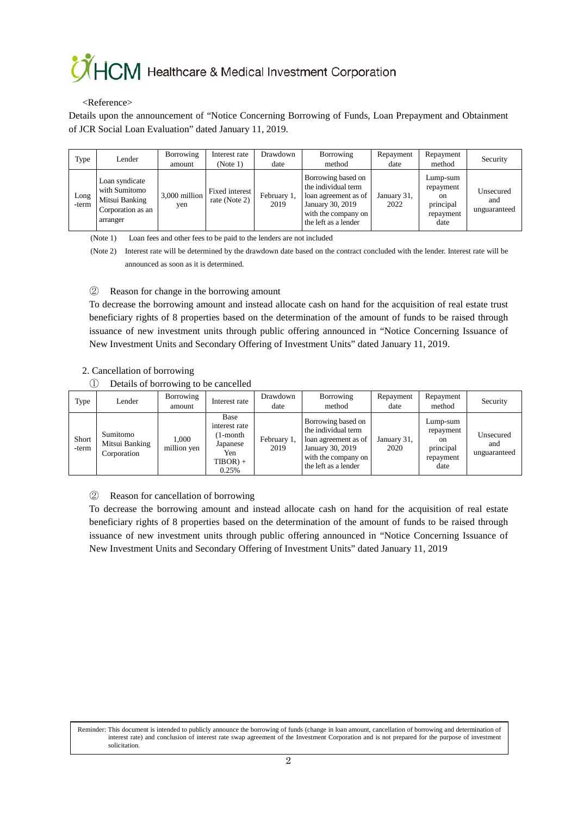## **OHCM** Healthcare & Medical Investment Corporation

#### <Reference>

Details upon the announcement of "Notice Concerning Borrowing of Funds, Loan Prepayment and Obtainment of JCR Social Loan Evaluation" dated January 11, 2019.

| Type          | Lender                                                                             | Borrowing<br>amount  | Interest rate<br>(Note 1)       | Drawdown<br>date    | Borrowing<br>method                                                                                                                  | Repayment<br>date   | Repayment<br>method                                                      | Security                         |
|---------------|------------------------------------------------------------------------------------|----------------------|---------------------------------|---------------------|--------------------------------------------------------------------------------------------------------------------------------------|---------------------|--------------------------------------------------------------------------|----------------------------------|
| Long<br>-term | Loan syndicate<br>with Sumitomo<br>Mitsui Banking<br>Corporation as an<br>arranger | 3,000 million<br>yen | Fixed interest<br>rate (Note 2) | February 1,<br>2019 | Borrowing based on<br>the individual term<br>loan agreement as of<br>January 30, 2019<br>with the company on<br>the left as a lender | January 31,<br>2022 | Lump-sum<br>repayment<br><sub>on</sub><br>principal<br>repayment<br>date | Unsecured<br>and<br>unguaranteed |

(Note 1) Loan fees and other fees to be paid to the lenders are not included

(Note 2) Interest rate will be determined by the drawdown date based on the contract concluded with the lender. Interest rate will be announced as soon as it is determined.

② Reason for change in the borrowing amount

To decrease the borrowing amount and instead allocate cash on hand for the acquisition of real estate trust beneficiary rights of 8 properties based on the determination of the amount of funds to be raised through issuance of new investment units through public offering announced in "Notice Concerning Issuance of New Investment Units and Secondary Offering of Investment Units" dated January 11, 2019.

#### 2. Cancellation of borrowing

① Details of borrowing to be cancelled

| Type           | Lender                                    | Borrowing<br>amount  | Interest rate                                                             | Drawdown<br>date    | Borrowing<br>method                                                                                                                  | Repayment<br>date   | Repayment<br>method                                           | Security                         |
|----------------|-------------------------------------------|----------------------|---------------------------------------------------------------------------|---------------------|--------------------------------------------------------------------------------------------------------------------------------------|---------------------|---------------------------------------------------------------|----------------------------------|
| Short<br>-term | Sumitomo<br>Mitsui Banking<br>Corporation | 1.000<br>million yen | Base<br>interest rate<br>1-month<br>Japanese<br>Yen<br>$TIBOR$ +<br>0.25% | February 1,<br>2019 | Borrowing based on<br>the individual term<br>loan agreement as of<br>January 30, 2019<br>with the company on<br>the left as a lender | January 31,<br>2020 | Lump-sum<br>repayment<br>on<br>principal<br>repayment<br>date | Unsecured<br>and<br>unguaranteed |

### ② Reason for cancellation of borrowing

To decrease the borrowing amount and instead allocate cash on hand for the acquisition of real estate beneficiary rights of 8 properties based on the determination of the amount of funds to be raised through issuance of new investment units through public offering announced in "Notice Concerning Issuance of New Investment Units and Secondary Offering of Investment Units" dated January 11, 2019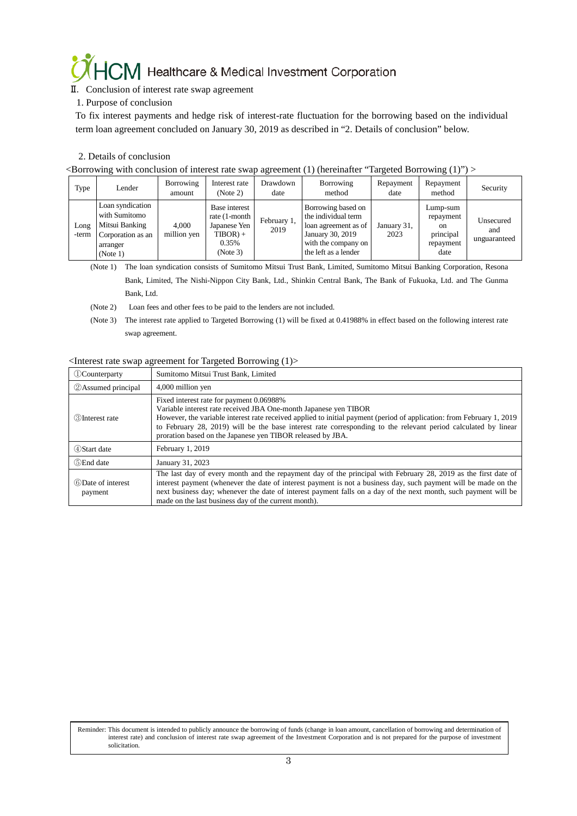# $\mathcal{O}\left(\frac{1}{2}\right)$  Healthcare & Medical Investment Corporation II. Conclusion of interest rate swap agreement

#### 1. Purpose of conclusion

To fix interest payments and hedge risk of interest-rate fluctuation for the borrowing based on the individual term loan agreement concluded on January 30, 2019 as described in "2. Details of conclusion" below.

#### 2. Details of conclusion

<Borrowing with conclusion of interest rate swap agreement (1) (hereinafter "Targeted Borrowing (1)") >

| Type          | Lender                                                                                           | Borrowing<br>amount  | Interest rate<br>(Note 2)                                                           | Drawdown<br>date    | Borrowing<br>method                                                                                                                  | Repayment<br>date   | Repayment<br>method                                                      | Security                         |
|---------------|--------------------------------------------------------------------------------------------------|----------------------|-------------------------------------------------------------------------------------|---------------------|--------------------------------------------------------------------------------------------------------------------------------------|---------------------|--------------------------------------------------------------------------|----------------------------------|
| Long<br>-term | Loan syndication<br>with Sumitomo<br>Mitsui Banking<br>Corporation as an<br>arranger<br>(Note 1) | 4.000<br>million yen | Base interest<br>rate (1-month)<br>Japanese Yen<br>$TIBOR$ ) +<br>0.35%<br>(Note 3) | February 1,<br>2019 | Borrowing based on<br>the individual term<br>loan agreement as of<br>January 30, 2019<br>with the company on<br>the left as a lender | January 31,<br>2023 | Lump-sum<br>repayment<br><sub>on</sub><br>principal<br>repayment<br>date | Unsecured<br>and<br>unguaranteed |

(Note 1) The loan syndication consists of Sumitomo Mitsui Trust Bank, Limited, Sumitomo Mitsui Banking Corporation, Resona

Bank, Limited, The Nishi-Nippon City Bank, Ltd., Shinkin Central Bank, The Bank of Fukuoka, Ltd. and The Gunma Bank, Ltd.

- (Note 2) Loan fees and other fees to be paid to the lenders are not included.
- (Note 3) The interest rate applied to Targeted Borrowing (1) will be fixed at 0.41988% in effect based on the following interest rate swap agreement.

#### <Interest rate swap agreement for Targeted Borrowing (1)>

| <b>Counterparty</b>           | Sumitomo Mitsui Trust Bank, Limited                                                                                                                                                                                                                                                                                                                                                                                   |
|-------------------------------|-----------------------------------------------------------------------------------------------------------------------------------------------------------------------------------------------------------------------------------------------------------------------------------------------------------------------------------------------------------------------------------------------------------------------|
| <b>2</b> Assumed principal    | 4,000 million yen                                                                                                                                                                                                                                                                                                                                                                                                     |
| <b>3</b> Interest rate        | Fixed interest rate for payment 0.06988%<br>Variable interest rate received JBA One-month Japanese yen TIBOR<br>However, the variable interest rate received applied to initial payment (period of application: from February 1, 2019<br>to February 28, 2019) will be the base interest rate corresponding to the relevant period calculated by linear<br>proration based on the Japanese yen TIBOR released by JBA. |
| 4) Start date                 | February 1, 2019                                                                                                                                                                                                                                                                                                                                                                                                      |
| 5)End date                    | January 31, 2023                                                                                                                                                                                                                                                                                                                                                                                                      |
| 6 Date of interest<br>payment | The last day of every month and the repayment day of the principal with February 28, 2019 as the first date of<br>interest payment (whenever the date of interest payment is not a business day, such payment will be made on the<br>next business day; whenever the date of interest payment falls on a day of the next month, such payment will be<br>made on the last business day of the current month).          |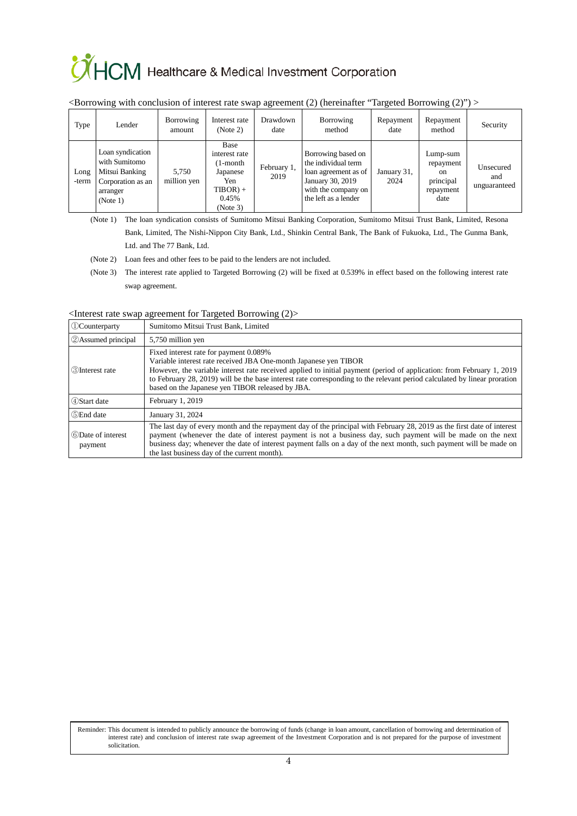# CHCM Healthcare & Medical Investment Corporation

| Type          | Lender                                                                                           | Borrowing<br>amount  | Interest rate<br>(Note 2)                                                             | Drawdown<br>date    | Borrowing<br>method                                                                                                                  | Repayment<br>date   | Repayment<br>method                                                      | Security                         |
|---------------|--------------------------------------------------------------------------------------------------|----------------------|---------------------------------------------------------------------------------------|---------------------|--------------------------------------------------------------------------------------------------------------------------------------|---------------------|--------------------------------------------------------------------------|----------------------------------|
| Long<br>-term | Loan syndication<br>with Sumitomo<br>Mitsui Banking<br>Corporation as an<br>arranger<br>(Note 1) | 5.750<br>million yen | Base<br>interest rate<br>1-month<br>Japanese<br>Yen<br>$TIBOR$ +<br>0.45%<br>(Note 3) | February 1,<br>2019 | Borrowing based on<br>the individual term<br>loan agreement as of<br>January 30, 2019<br>with the company on<br>the left as a lender | January 31,<br>2024 | Lump-sum<br>repayment<br><sub>on</sub><br>principal<br>repayment<br>date | Unsecured<br>and<br>unguaranteed |

#### $\leq$ Borrowing with conclusion of interest rate swap agreement (2) (hereinafter "Targeted Borrowing (2)")  $\geq$

(Note 1) The loan syndication consists of Sumitomo Mitsui Banking Corporation, Sumitomo Mitsui Trust Bank, Limited, Resona Bank, Limited, The Nishi-Nippon City Bank, Ltd., Shinkin Central Bank, The Bank of Fukuoka, Ltd., The Gunma Bank,

Ltd. and The 77 Bank, Ltd.

(Note 2) Loan fees and other fees to be paid to the lenders are not included.

(Note 3) The interest rate applied to Targeted Borrowing (2) will be fixed at 0.539% in effect based on the following interest rate swap agreement.

<Interest rate swap agreement for Targeted Borrowing (2)>

| <b><i><u>DCounterparty</u></i></b> | Sumitomo Mitsui Trust Bank, Limited                                                                                                                                                                                                                                                                                                                                                                                 |
|------------------------------------|---------------------------------------------------------------------------------------------------------------------------------------------------------------------------------------------------------------------------------------------------------------------------------------------------------------------------------------------------------------------------------------------------------------------|
| 2 Assumed principal                | 5,750 million yen                                                                                                                                                                                                                                                                                                                                                                                                   |
| 3) Interest rate                   | Fixed interest rate for payment 0.089%<br>Variable interest rate received JBA One-month Japanese yen TIBOR<br>However, the variable interest rate received applied to initial payment (period of application: from February 1, 2019<br>to February 28, 2019) will be the base interest rate corresponding to the relevant period calculated by linear proration<br>based on the Japanese yen TIBOR released by JBA. |
| 4) Start date                      | February 1, 2019                                                                                                                                                                                                                                                                                                                                                                                                    |
| 5)End date                         | January 31, 2024                                                                                                                                                                                                                                                                                                                                                                                                    |
| 6 Date of interest<br>payment      | The last day of every month and the repayment day of the principal with February 28, 2019 as the first date of interest<br>payment (whenever the date of interest payment is not a business day, such payment will be made on the next<br>business day; whenever the date of interest payment falls on a day of the next month, such payment will be made on<br>the last business day of the current month).        |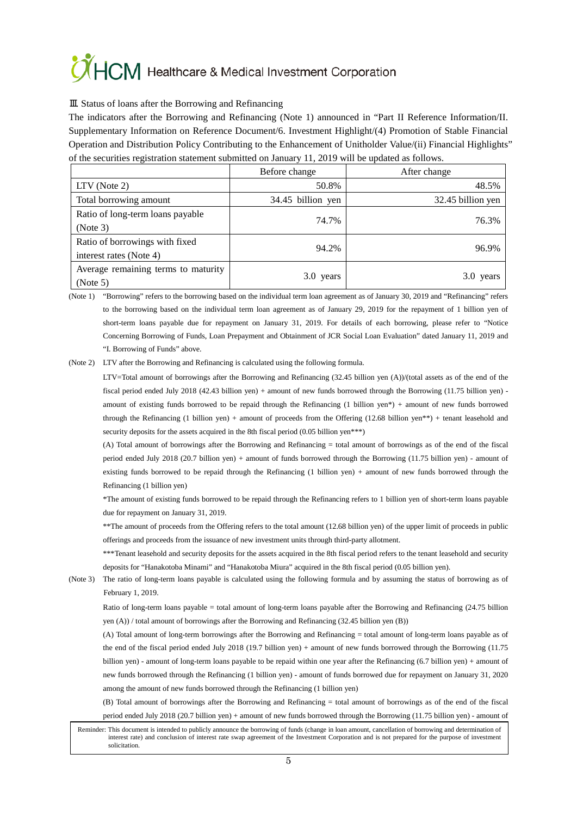# CHCM Healthcare & Medical Investment Corporation

#### Ⅲ. Status of loans after the Borrowing and Refinancing

The indicators after the Borrowing and Refinancing (Note 1) announced in "Part II Reference Information/II. Supplementary Information on Reference Document/6. Investment Highlight/(4) Promotion of Stable Financial Operation and Distribution Policy Contributing to the Enhancement of Unitholder Value/(ii) Financial Highlights" of the securities registration statement submitted on January 11, 2019 will be updated as follows.

|                                                           | Before change     | After change      |
|-----------------------------------------------------------|-------------------|-------------------|
| $LTV$ (Note 2)                                            | 50.8%             | 48.5%             |
| Total borrowing amount                                    | 34.45 billion yen | 32.45 billion yen |
| Ratio of long-term loans payable<br>(Note 3)              | 74.7%             | 76.3%             |
| Ratio of borrowings with fixed<br>interest rates (Note 4) | 94.2%             | 96.9%             |
| Average remaining terms to maturity<br>(Note 5)           | 3.0 years         | 3.0 years         |

(Note 1) "Borrowing" refers to the borrowing based on the individual term loan agreement as of January 30, 2019 and "Refinancing" refers to the borrowing based on the individual term loan agreement as of January 29, 2019 for the repayment of 1 billion yen of short-term loans payable due for repayment on January 31, 2019. For details of each borrowing, please refer to "Notice Concerning Borrowing of Funds, Loan Prepayment and Obtainment of JCR Social Loan Evaluation" dated January 11, 2019 and "I. Borrowing of Funds" above.

(Note 2) LTV after the Borrowing and Refinancing is calculated using the following formula.

LTV=Total amount of borrowings after the Borrowing and Refinancing (32.45 billion yen (A))/(total assets as of the end of the fiscal period ended July 2018 (42.43 billion yen) + amount of new funds borrowed through the Borrowing (11.75 billion yen) amount of existing funds borrowed to be repaid through the Refinancing (1 billion yen\*) + amount of new funds borrowed through the Refinancing (1 billion yen) + amount of proceeds from the Offering (12.68 billion yen\*\*) + tenant leasehold and security deposits for the assets acquired in the 8th fiscal period (0.05 billion yen<sup>\*\*\*</sup>)

(A) Total amount of borrowings after the Borrowing and Refinancing = total amount of borrowings as of the end of the fiscal period ended July 2018 (20.7 billion yen) + amount of funds borrowed through the Borrowing (11.75 billion yen) - amount of existing funds borrowed to be repaid through the Refinancing (1 billion yen) + amount of new funds borrowed through the Refinancing (1 billion yen)

\*The amount of existing funds borrowed to be repaid through the Refinancing refers to 1 billion yen of short-term loans payable due for repayment on January 31, 2019.

\*\*The amount of proceeds from the Offering refers to the total amount (12.68 billion yen) of the upper limit of proceeds in public offerings and proceeds from the issuance of new investment units through third-party allotment.

\*\*\*Tenant leasehold and security deposits for the assets acquired in the 8th fiscal period refers to the tenant leasehold and security deposits for "Hanakotoba Minami" and "Hanakotoba Miura" acquired in the 8th fiscal period (0.05 billion yen).

(Note 3) The ratio of long-term loans payable is calculated using the following formula and by assuming the status of borrowing as of February 1, 2019.

Ratio of long-term loans payable = total amount of long-term loans payable after the Borrowing and Refinancing (24.75 billion yen (A)) / total amount of borrowings after the Borrowing and Refinancing (32.45 billion yen (B))

(A) Total amount of long-term borrowings after the Borrowing and Refinancing = total amount of long-term loans payable as of the end of the fiscal period ended July 2018 (19.7 billion yen) + amount of new funds borrowed through the Borrowing (11.75 billion yen) - amount of long-term loans payable to be repaid within one year after the Refinancing (6.7 billion yen) + amount of new funds borrowed through the Refinancing (1 billion yen) - amount of funds borrowed due for repayment on January 31, 2020 among the amount of new funds borrowed through the Refinancing (1 billion yen)

(B) Total amount of borrowings after the Borrowing and Refinancing = total amount of borrowings as of the end of the fiscal period ended July 2018 (20.7 billion yen) + amount of new funds borrowed through the Borrowing (11.75 billion yen) - amount of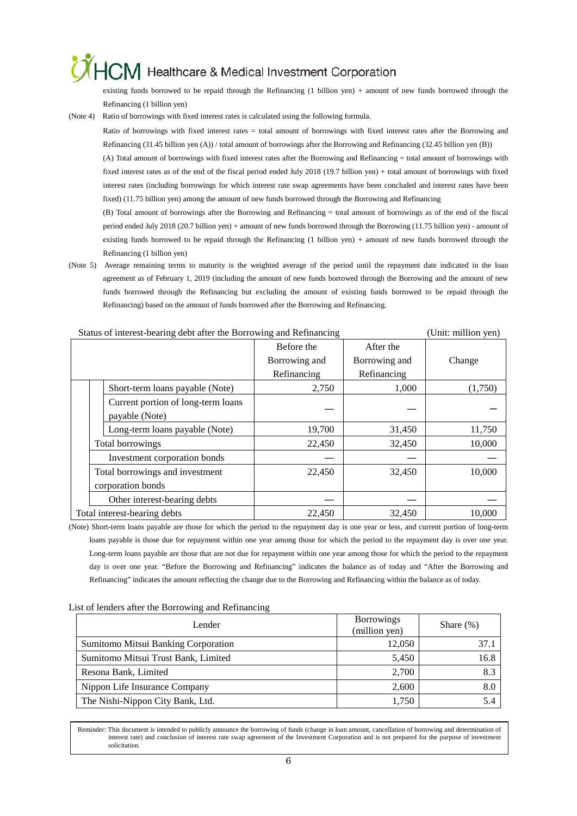### HCM Healthcare & Medical Investment Corporation

existing funds borrowed to be repaid through the Refinancing (1 billion yen) + amount of new funds borrowed through the Refinancing (1 billion yen)

(Note 4) Ratio of borrowings with fixed interest rates is calculated using the following formula.

Ratio of borrowings with fixed interest rates = total amount of borrowings with fixed interest rates after the Borrowing and Refinancing (31.45 billion yen (A)) / total amount of borrowings after the Borrowing and Refinancing (32.45 billion yen (B))

(A) Total amount of borrowings with fixed interest rates after the Borrowing and Refinancing = total amount of borrowings with fixed interest rates as of the end of the fiscal period ended July 2018 (19.7 billion yen) + total amount of borrowings with fixed interest rates (including borrowings for which interest rate swap agreements have been concluded and interest rates have been fixed) (11.75 billion yen) among the amount of new funds borrowed through the Borrowing and Refinancing

(B) Total amount of borrowings after the Borrowing and Refinancing = total amount of borrowings as of the end of the fiscal period ended July 2018 (20.7 billion yen) + amount of new funds borrowed through the Borrowing (11.75 billion yen) - amount of existing funds borrowed to be repaid through the Refinancing (1 billion yen) + amount of new funds borrowed through the Refinancing (1 billion yen)

(Note 5) Average remaining terms to maturity is the weighted average of the period until the repayment date indicated in the loan agreement as of February 1, 2019 (including the amount of new funds borrowed through the Borrowing and the amount of new funds borrowed through the Refinancing but excluding the amount of existing funds borrowed to be repaid through the Refinancing) based on the amount of funds borrowed after the Borrowing and Refinancing.

| Status of interest-bearing debt after the Borrowing and Refinancing | (Unit: million yen)                                  |               |               |         |
|---------------------------------------------------------------------|------------------------------------------------------|---------------|---------------|---------|
|                                                                     |                                                      | Before the    | After the     |         |
|                                                                     |                                                      | Borrowing and | Borrowing and | Change  |
|                                                                     |                                                      | Refinancing   | Refinancing   |         |
|                                                                     | Short-term loans payable (Note)                      | 2,750         | 1,000         | (1,750) |
|                                                                     | Current portion of long-term loans<br>payable (Note) |               |               |         |
|                                                                     | Long-term loans payable (Note)                       | 19,700        | 31,450        | 11,750  |
|                                                                     | Total borrowings                                     | 22,450        | 32,450        | 10,000  |
|                                                                     | Investment corporation bonds                         |               |               |         |
|                                                                     | Total borrowings and investment                      | 22,450        | 32,450        | 10,000  |
|                                                                     | corporation bonds                                    |               |               |         |
|                                                                     | Other interest-bearing debts                         |               |               |         |
| Total interest-bearing debts                                        |                                                      | 22,450        | 32,450        | 10.000  |

#### Status of interest-bearing debt after the Borrowing and Refinancing (Unit: million yen)

(Note) Short-term loans payable are those for which the period to the repayment day is one year or less, and current portion of long-term loans payable is those due for repayment within one year among those for which the period to the repayment day is over one year. Long-term loans payable are those that are not due for repayment within one year among those for which the period to the repayment day is over one year. "Before the Borrowing and Refinancing" indicates the balance as of today and "After the Borrowing and Refinancing" indicates the amount reflecting the change due to the Borrowing and Refinancing within the balance as of today.

| Lender                              | <b>Borrowings</b> | Share $(\%)$ |  |
|-------------------------------------|-------------------|--------------|--|
|                                     | (million yen)     |              |  |
| Sumitomo Mitsui Banking Corporation | 12,050            | 37.1         |  |
| Sumitomo Mitsui Trust Bank, Limited | 5,450             | 16.8         |  |
| Resona Bank, Limited                | 2,700             | 8.3          |  |
| Nippon Life Insurance Company       | 2,600             | 8.0          |  |
| The Nishi-Nippon City Bank, Ltd.    | 1,750             | 5.4          |  |

#### List of lenders after the Borrowing and Refinancing